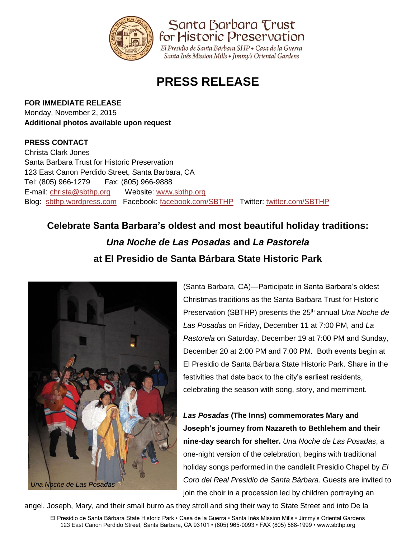

Santa Barbara Trust for Historic Preservation

El Presidio de Santa Bárbara SHP · Casa de la Guerra Santa Inés Mission Mills • Jimmy's Oriental Gardens

# **PRESS RELEASE**

#### **FOR IMMEDIATE RELEASE**

Monday, November 2, 2015 **Additional photos available upon request**

### **PRESS CONTACT**

Christa Clark Jones Santa Barbara Trust for Historic Preservation 123 East Canon Perdido Street, Santa Barbara, CA Tel: (805) 966-1279 Fax: (805) 966-9888 E-mail: [christa@sbthp.org](mailto:christa@sbthp.org) Website: [www.sbthp.org](http://www.sbthp.org/) Blog: [sbthp.wordpress.com](http://sbthp.wordpress.com/) Facebook: [facebook.com/SBTHP](http://www.facebook.com/SBTHP) Twitter: [twitter.com/SBTHP](http://twitter.com/SBTHP)

## **Celebrate Santa Barbara's oldest and most beautiful holiday traditions:** *Una Noche de Las Posadas* **and** *La Pastorela*  **at El Presidio de Santa Bárbara State Historic Park**



(Santa Barbara, CA)—Participate in Santa Barbara's oldest Christmas traditions as the Santa Barbara Trust for Historic Preservation (SBTHP) presents the 25<sup>th</sup> annual *Una Noche de Las Posadas* on Friday, December 11 at 7:00 PM, and *La Pastorela* on Saturday, December 19 at 7:00 PM and Sunday, December 20 at 2:00 PM and 7:00 PM. Both events begin at El Presidio de Santa Bárbara State Historic Park. Share in the festivities that date back to the city's earliest residents, celebrating the season with song, story, and merriment.

*Las Posadas* **(The Inns) commemorates Mary and Joseph's journey from Nazareth to Bethlehem and their nine-day search for shelter.** *Una Noche de Las Posadas*, a one-night version of the celebration, begins with traditional holiday songs performed in the candlelit Presidio Chapel by *El Coro del Real Presidio de Santa Bárbara*. Guests are invited to join the choir in a procession led by children portraying an

angel, Joseph, Mary, and their small burro as they stroll and sing their way to State Street and into De la

El Presidio de Santa Bárbara State Historic Park • Casa de la Guerra • Santa Inés Mission Mills • Jimmy's Oriental Gardens 123 East Canon Perdido Street, Santa Barbara, CA 93101 • (805) 965-0093 • FAX (805) 568-1999 • www.sbthp.org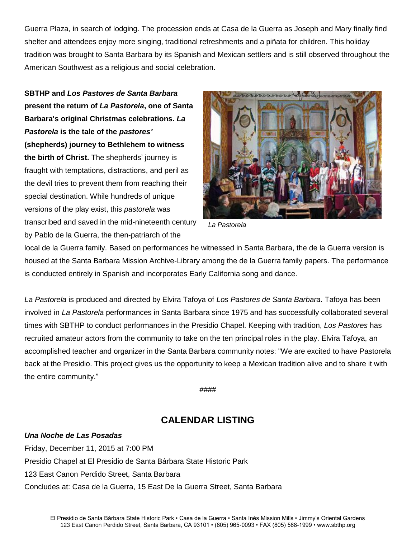Guerra Plaza, in search of lodging. The procession ends at Casa de la Guerra as Joseph and Mary finally find shelter and attendees enjoy more singing, traditional refreshments and a piñata for children. This holiday tradition was brought to Santa Barbara by its Spanish and Mexican settlers and is still observed throughout the American Southwest as a religious and social celebration.

**SBTHP and** *Los Pastores de Santa Barbara* **present the return of** *La Pastorela***, one of Santa Barbara's original Christmas celebrations.** *La Pastorela* **is the tale of the** *pastores'* **(shepherds) journey to Bethlehem to witness the birth of Christ.** The shepherds' journey is fraught with temptations, distractions, and peril as the devil tries to prevent them from reaching their special destination. While hundreds of unique versions of the play exist, this *pastorela* was transcribed and saved in the mid-nineteenth century by Pablo de la Guerra, the then-patriarch of the



*La Pastorela*

local de la Guerra family. Based on performances he witnessed in Santa Barbara, the de la Guerra version is housed at the Santa Barbara Mission Archive-Library among the de la Guerra family papers. The performance is conducted entirely in Spanish and incorporates Early California song and dance.

*La Pastorela* is produced and directed by Elvira Tafoya of *Los Pastores de Santa Barbara*. Tafoya has been involved in *La Pastorela* performances in Santa Barbara since 1975 and has successfully collaborated several times with SBTHP to conduct performances in the Presidio Chapel. Keeping with tradition, *Los Pastores* has recruited amateur actors from the community to take on the ten principal roles in the play. Elvira Tafoya, an accomplished teacher and organizer in the Santa Barbara community notes: "We are excited to have Pastorela back at the Presidio. This project gives us the opportunity to keep a Mexican tradition alive and to share it with the entire community."

####

## **CALENDAR LISTING**

*Una Noche de Las Posadas* Friday, December 11, 2015 at 7:00 PM Presidio Chapel at El Presidio de Santa Bárbara State Historic Park 123 East Canon Perdido Street, Santa Barbara Concludes at: Casa de la Guerra, 15 East De la Guerra Street, Santa Barbara